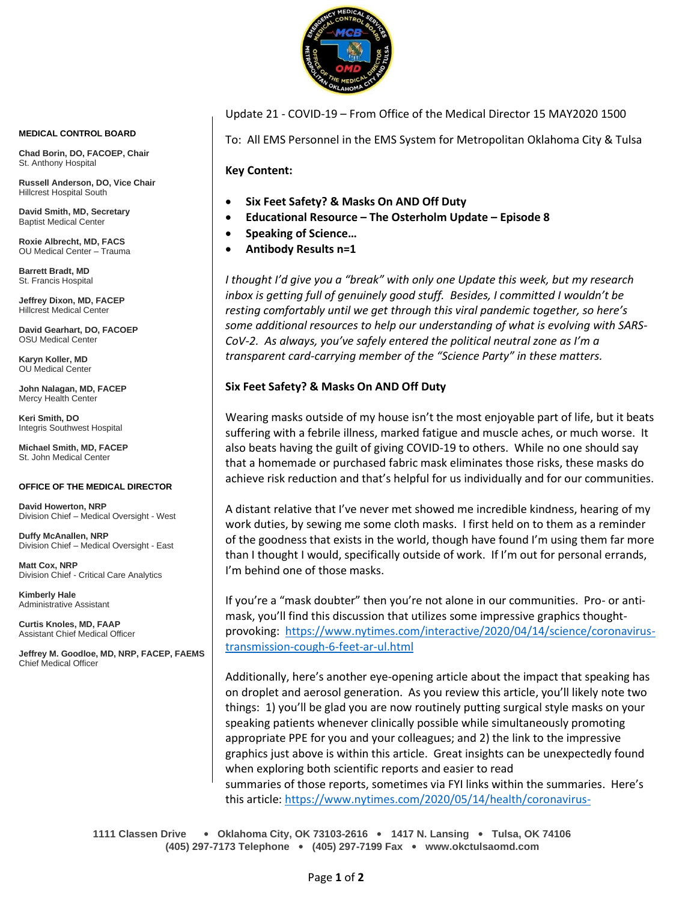

**MEDICAL CONTROL BOARD**

**Chad Borin, DO, FACOEP, Chair**  St. Anthony Hospital

**Russell Anderson, DO, Vice Chair** Hillcrest Hospital South

**David Smith, MD, Secretary** Baptist Medical Center

**Roxie Albrecht, MD, FACS** OU Medical Center – Trauma

**Barrett Bradt, MD** St. Francis Hospital

**Jeffrey Dixon, MD, FACEP** Hillcrest Medical Center

**David Gearhart, DO, FACOEP** OSU Medical Center

**Karyn Koller, MD** OU Medical Center

**John Nalagan, MD, FACEP** Mercy Health Center

**Keri Smith, DO** Integris Southwest Hospital

**Michael Smith, MD, FACEP** St. John Medical Center

#### **OFFICE OF THE MEDICAL DIRECTOR**

**David Howerton, NRP** Division Chief – Medical Oversight - West

**Duffy McAnallen, NRP** Division Chief – Medical Oversight - East

**Matt Cox, NRP** Division Chief - Critical Care Analytics

**Kimberly Hale** Administrative Assistant

**Curtis Knoles, MD, FAAP** Assistant Chief Medical Officer

**Jeffrey M. Goodloe, MD, NRP, FACEP, FAEMS** Chief Medical Officer

Update 21 - COVID-19 – From Office of the Medical Director 15 MAY2020 1500

To: All EMS Personnel in the EMS System for Metropolitan Oklahoma City & Tulsa

**Key Content:**

- **Six Feet Safety? & Masks On AND Off Duty**
- **Educational Resource – The Osterholm Update – Episode 8**
- **Speaking of Science…**
- **Antibody Results n=1**

*I thought I'd give you a "break" with only one Update this week, but my research inbox is getting full of genuinely good stuff. Besides, I committed I wouldn't be resting comfortably until we get through this viral pandemic together, so here's some additional resources to help our understanding of what is evolving with SARS-CoV-2. As always, you've safely entered the political neutral zone as I'm a transparent card-carrying member of the "Science Party" in these matters.*

# **Six Feet Safety? & Masks On AND Off Duty**

Wearing masks outside of my house isn't the most enjoyable part of life, but it beats suffering with a febrile illness, marked fatigue and muscle aches, or much worse. It also beats having the guilt of giving COVID-19 to others. While no one should say that a homemade or purchased fabric mask eliminates those risks, these masks do achieve risk reduction and that's helpful for us individually and for our communities.

A distant relative that I've never met showed me incredible kindness, hearing of my work duties, by sewing me some cloth masks. I first held on to them as a reminder of the goodness that exists in the world, though have found I'm using them far more than I thought I would, specifically outside of work. If I'm out for personal errands, I'm behind one of those masks.

If you're a "mask doubter" then you're not alone in our communities. Pro- or antimask, you'll find this discussion that utilizes some impressive graphics thoughtprovoking: [https://www.nytimes.com/interactive/2020/04/14/science/coronavirus](https://www.nytimes.com/interactive/2020/04/14/science/coronavirus-transmission-cough-6-feet-ar-ul.html)[transmission-cough-6-feet-ar-ul.html](https://www.nytimes.com/interactive/2020/04/14/science/coronavirus-transmission-cough-6-feet-ar-ul.html)

Additionally, here's another eye-opening article about the impact that speaking has on droplet and aerosol generation. As you review this article, you'll likely note two things: 1) you'll be glad you are now routinely putting surgical style masks on your speaking patients whenever clinically possible while simultaneously promoting appropriate PPE for you and your colleagues; and 2) the link to the impressive graphics just above is within this article. Great insights can be unexpectedly found when exploring both scientific reports and easier to read summaries of those reports, sometimes via FYI links within the summaries. Here's this article: [https://www.nytimes.com/2020/05/14/health/coronavirus-](https://www.nytimes.com/2020/05/14/health/coronavirus-infections.html?campaign_id=9&emc=edit_nn_20200515&instance_id=18502&nl=the-morning®i_id=89587519&segment_id=27919&te=1&user_id=b16417940cf5590c6c9354f5e39d522f)

**1111 Classen Drive** • **Oklahoma City, OK 73103-2616** • **1417 N. Lansing** • **Tulsa, OK 74106 (405) 297-7173 Telephone** • **(405) 297-7199 Fax** • **www.okctulsaomd.com**